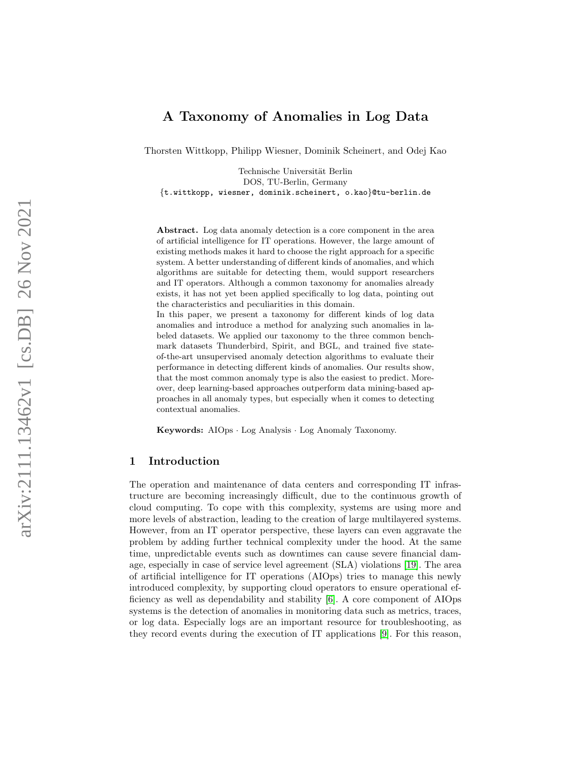# A Taxonomy of Anomalies in Log Data

Thorsten Wittkopp, Philipp Wiesner, Dominik Scheinert, and Odej Kao

Technische Universität Berlin DOS, TU-Berlin, Germany {t.wittkopp, wiesner, dominik.scheinert, o.kao }@tu-berlin.de

Abstract. Log data anomaly detection is a core component in the area of artificial intelligence for IT operations. However, the large amount of existing methods makes it hard to choose the right approach for a specific system. A better understanding of different kinds of anomalies, and which algorithms are suitable for detecting them, would support researchers and IT operators. Although a common taxonomy for anomalies already exists, it has not yet been applied specifically to log data, pointing out the characteristics and peculiarities in this domain.

In this paper, we present a taxonomy for different kinds of log data anomalies and introduce a method for analyzing such anomalies in labeled datasets. We applied our taxonomy to the three common benchmark datasets Thunderbird, Spirit, and BGL, and trained five stateof-the-art unsupervised anomaly detection algorithms to evaluate their performance in detecting different kinds of anomalies. Our results show, that the most common anomaly type is also the easiest to predict. Moreover, deep learning-based approaches outperform data mining-based approaches in all anomaly types, but especially when it comes to detecting contextual anomalies.

Keywords: AIOps · Log Analysis · Log Anomaly Taxonomy.

### 1 Introduction

The operation and maintenance of data centers and corresponding IT infrastructure are becoming increasingly difficult, due to the continuous growth of cloud computing. To cope with this complexity, systems are using more and more levels of abstraction, leading to the creation of large multilayered systems. However, from an IT operator perspective, these layers can even aggravate the problem by adding further technical complexity under the hood. At the same time, unpredictable events such as downtimes can cause severe financial damage, especially in case of service level agreement (SLA) violations [\[19\]](#page-11-0). The area of artificial intelligence for IT operations (AIOps) tries to manage this newly introduced complexity, by supporting cloud operators to ensure operational efficiency as well as dependability and stability [\[6\]](#page-11-1). A core component of AIOps systems is the detection of anomalies in monitoring data such as metrics, traces, or log data. Especially logs are an important resource for troubleshooting, as they record events during the execution of IT applications [\[9\]](#page-11-2). For this reason,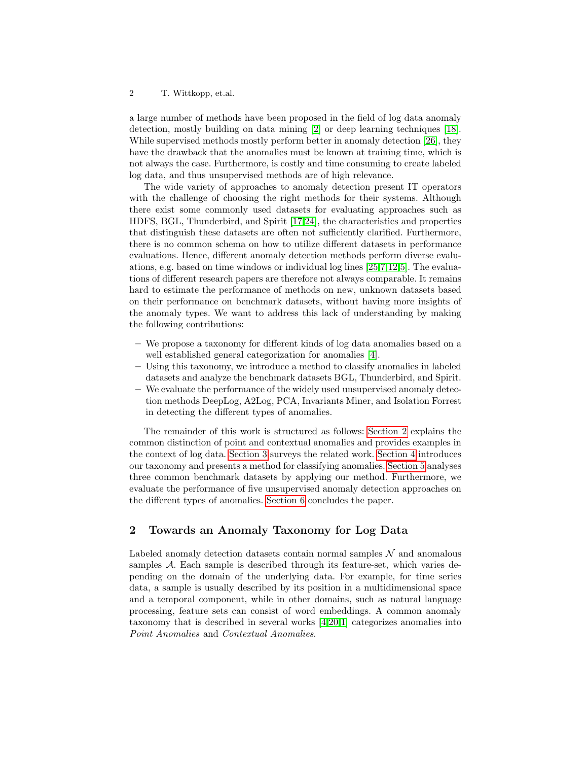a large number of methods have been proposed in the field of log data anomaly detection, mostly building on data mining [\[2\]](#page-10-0) or deep learning techniques [\[18\]](#page-11-3). While supervised methods mostly perform better in anomaly detection [\[26\]](#page-11-4), they have the drawback that the anomalies must be known at training time, which is not always the case. Furthermore, is costly and time consuming to create labeled log data, and thus unsupervised methods are of high relevance.

The wide variety of approaches to anomaly detection present IT operators with the challenge of choosing the right methods for their systems. Although there exist some commonly used datasets for evaluating approaches such as HDFS, BGL, Thunderbird, and Spirit [\[17,](#page-11-5)[24\]](#page-11-6), the characteristics and properties that distinguish these datasets are often not sufficiently clarified. Furthermore, there is no common schema on how to utilize different datasets in performance evaluations. Hence, different anomaly detection methods perform diverse evaluations, e.g. based on time windows or individual log lines [\[25,](#page-11-7)[7,](#page-11-8)[12,](#page-11-9)[5\]](#page-11-10). The evaluations of different research papers are therefore not always comparable. It remains hard to estimate the performance of methods on new, unknown datasets based on their performance on benchmark datasets, without having more insights of the anomaly types. We want to address this lack of understanding by making the following contributions:

- We propose a taxonomy for different kinds of log data anomalies based on a well established general categorization for anomalies [\[4\]](#page-11-11).
- Using this taxonomy, we introduce a method to classify anomalies in labeled datasets and analyze the benchmark datasets BGL, Thunderbird, and Spirit.
- We evaluate the performance of the widely used unsupervised anomaly detection methods DeepLog, A2Log, PCA, Invariants Miner, and Isolation Forrest in detecting the different types of anomalies.

The remainder of this work is structured as follows: [Section 2](#page-1-0) explains the common distinction of point and contextual anomalies and provides examples in the context of log data. [Section 3](#page-3-0) surveys the related work. [Section 4](#page-4-0) introduces our taxonomy and presents a method for classifying anomalies. [Section 5](#page-7-0) analyses three common benchmark datasets by applying our method. Furthermore, we evaluate the performance of five unsupervised anomaly detection approaches on the different types of anomalies. [Section 6](#page-10-1) concludes the paper.

## <span id="page-1-0"></span>2 Towards an Anomaly Taxonomy for Log Data

Labeled anomaly detection datasets contain normal samples  $\mathcal N$  and anomalous samples A. Each sample is described through its feature-set, which varies depending on the domain of the underlying data. For example, for time series data, a sample is usually described by its position in a multidimensional space and a temporal component, while in other domains, such as natural language processing, feature sets can consist of word embeddings. A common anomaly taxonomy that is described in several works [\[4,](#page-11-11)[20](#page-11-12)[,1\]](#page-10-2) categorizes anomalies into Point Anomalies and Contextual Anomalies.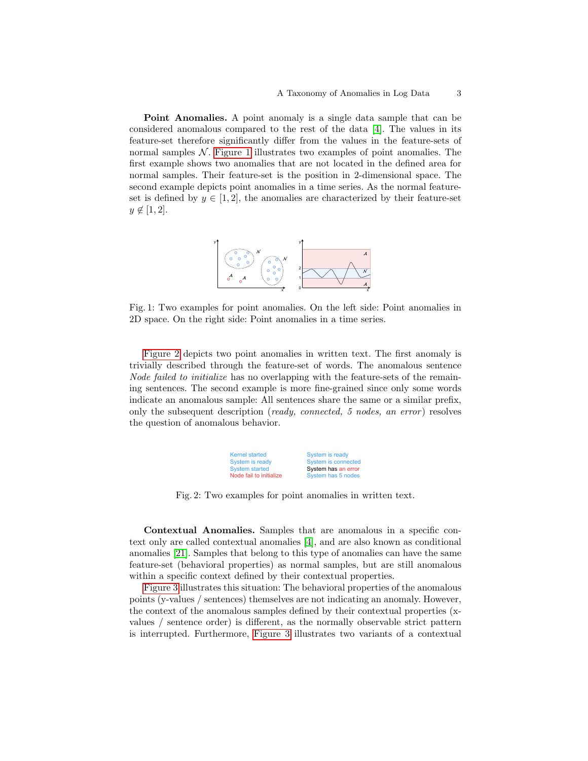Point Anomalies. A point anomaly is a single data sample that can be considered anomalous compared to the rest of the data [\[4\]](#page-11-11). The values in its feature-set therefore significantly differ from the values in the feature-sets of normal samples  $N$ . [Figure 1](#page-2-0) illustrates two examples of point anomalies. The first example shows two anomalies that are not located in the defined area for normal samples. Their feature-set is the position in 2-dimensional space. The second example depicts point anomalies in a time series. As the normal featureset is defined by  $y \in [1, 2]$ , the anomalies are characterized by their feature-set  $y \notin [1, 2].$ 



<span id="page-2-0"></span>Fig. 1: Two examples for point anomalies. On the left side: Point anomalies in 2D space. On the right side: Point anomalies in a time series.

[Figure 2](#page-2-1) depicts two point anomalies in written text. The first anomaly is trivially described through the feature-set of words. The anomalous sentence Node failed to initialize has no overlapping with the feature-sets of the remaining sentences. The second example is more fine-grained since only some words indicate an anomalous sample: All sentences share the same or a similar prefix, only the subsequent description (ready, connected, 5 nodes, an error) resolves the question of anomalous behavior.

| <b>Kernel started</b>   | <b>System is ready</b>     |  |
|-------------------------|----------------------------|--|
| System is ready         | <b>System is connected</b> |  |
| <b>System started</b>   | System has an error        |  |
| Node fail to initialize | System has 5 nodes         |  |

<span id="page-2-1"></span>Fig. 2: Two examples for point anomalies in written text.

Contextual Anomalies. Samples that are anomalous in a specific context only are called contextual anomalies [\[4\]](#page-11-11), and are also known as conditional anomalies [\[21\]](#page-11-13). Samples that belong to this type of anomalies can have the same feature-set (behavioral properties) as normal samples, but are still anomalous within a specific context defined by their contextual properties.

[Figure 3](#page-3-1) illustrates this situation: The behavioral properties of the anomalous points (y-values / sentences) themselves are not indicating an anomaly. However, the context of the anomalous samples defined by their contextual properties (xvalues / sentence order) is different, as the normally observable strict pattern is interrupted. Furthermore, [Figure 3](#page-3-1) illustrates two variants of a contextual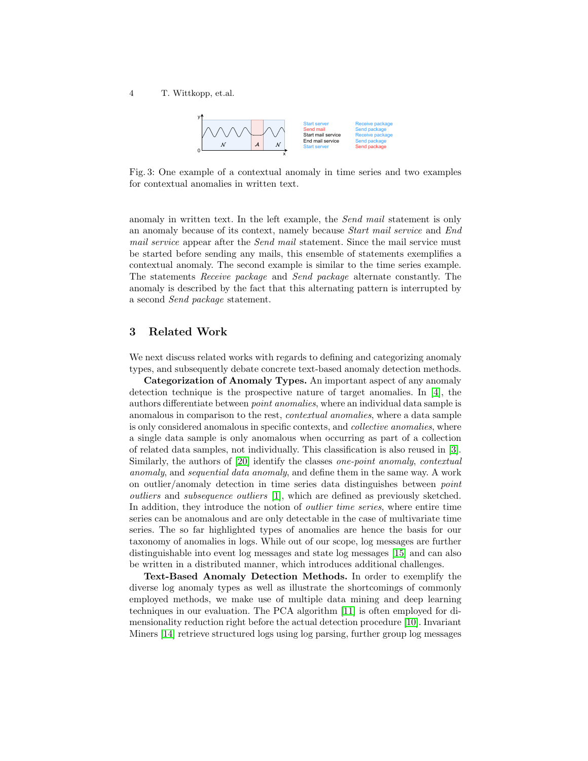<span id="page-3-1"></span>

Fig. 3: One example of a contextual anomaly in time series and two examples for contextual anomalies in written text.

anomaly in written text. In the left example, the *Send mail* statement is only an anomaly because of its context, namely because Start mail service and End mail service appear after the Send mail statement. Since the mail service must be started before sending any mails, this ensemble of statements exemplifies a contextual anomaly. The second example is similar to the time series example. The statements Receive package and Send package alternate constantly. The anomaly is described by the fact that this alternating pattern is interrupted by a second Send package statement.

### <span id="page-3-0"></span>3 Related Work

We next discuss related works with regards to defining and categorizing anomaly types, and subsequently debate concrete text-based anomaly detection methods.

Categorization of Anomaly Types. An important aspect of any anomaly detection technique is the prospective nature of target anomalies. In [\[4\]](#page-11-11), the authors differentiate between point anomalies, where an individual data sample is anomalous in comparison to the rest, contextual anomalies, where a data sample is only considered anomalous in specific contexts, and collective anomalies, where a single data sample is only anomalous when occurring as part of a collection of related data samples, not individually. This classification is also reused in [\[3\]](#page-11-14). Similarly, the authors of [\[20\]](#page-11-12) identify the classes one-point anomaly, contextual anomaly, and sequential data anomaly, and define them in the same way. A work on outlier/anomaly detection in time series data distinguishes between point outliers and subsequence outliers [\[1\]](#page-10-2), which are defined as previously sketched. In addition, they introduce the notion of *outlier time series*, where entire time series can be anomalous and are only detectable in the case of multivariate time series. The so far highlighted types of anomalies are hence the basis for our taxonomy of anomalies in logs. While out of our scope, log messages are further distinguishable into event log messages and state log messages [\[15\]](#page-11-15) and can also be written in a distributed manner, which introduces additional challenges.

Text-Based Anomaly Detection Methods. In order to exemplify the diverse log anomaly types as well as illustrate the shortcomings of commonly employed methods, we make use of multiple data mining and deep learning techniques in our evaluation. The PCA algorithm [\[11\]](#page-11-16) is often employed for dimensionality reduction right before the actual detection procedure [\[10\]](#page-11-17). Invariant Miners [\[14\]](#page-11-18) retrieve structured logs using log parsing, further group log messages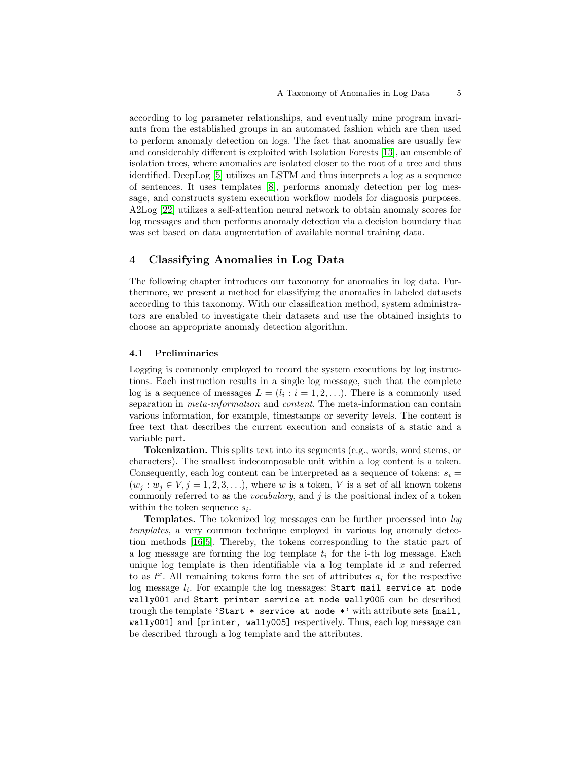according to log parameter relationships, and eventually mine program invariants from the established groups in an automated fashion which are then used to perform anomaly detection on logs. The fact that anomalies are usually few and considerably different is exploited with Isolation Forests [\[13\]](#page-11-19), an ensemble of isolation trees, where anomalies are isolated closer to the root of a tree and thus identified. DeepLog [\[5\]](#page-11-10) utilizes an LSTM and thus interprets a log as a sequence of sentences. It uses templates [\[8\]](#page-11-20), performs anomaly detection per log message, and constructs system execution workflow models for diagnosis purposes. A2Log [\[22\]](#page-11-21) utilizes a self-attention neural network to obtain anomaly scores for log messages and then performs anomaly detection via a decision boundary that was set based on data augmentation of available normal training data.

### <span id="page-4-0"></span>4 Classifying Anomalies in Log Data

The following chapter introduces our taxonomy for anomalies in log data. Furthermore, we present a method for classifying the anomalies in labeled datasets according to this taxonomy. With our classification method, system administrators are enabled to investigate their datasets and use the obtained insights to choose an appropriate anomaly detection algorithm.

#### 4.1 Preliminaries

Logging is commonly employed to record the system executions by log instructions. Each instruction results in a single log message, such that the complete log is a sequence of messages  $L = (l_i : i = 1, 2, ...)$ . There is a commonly used separation in *meta-information* and *content*. The meta-information can contain various information, for example, timestamps or severity levels. The content is free text that describes the current execution and consists of a static and a variable part.

Tokenization. This splits text into its segments (e.g., words, word stems, or characters). The smallest indecomposable unit within a log content is a token. Consequently, each log content can be interpreted as a sequence of tokens:  $s_i =$  $(w_i : w_j \in V, j = 1, 2, 3, \ldots)$ , where w is a token, V is a set of all known tokens commonly referred to as the *vocabulary*, and  $j$  is the positional index of a token within the token sequence  $s_i$ .

Templates. The tokenized log messages can be further processed into log templates, a very common technique employed in various log anomaly detection methods [\[16,](#page-11-22)[5\]](#page-11-10). Thereby, the tokens corresponding to the static part of a log message are forming the log template  $t_i$  for the i-th log message. Each unique log template is then identifiable via a log template id  $x$  and referred to as  $t^x$ . All remaining tokens form the set of attributes  $a_i$  for the respective  $log$  message  $l_i$ . For example the  $log$  messages: Start mail service at node wally001 and Start printer service at node wally005 can be described trough the template 'Start \* service at node \*' with attribute sets [mail, wally001] and [printer, wally005] respectively. Thus, each log message can be described through a log template and the attributes.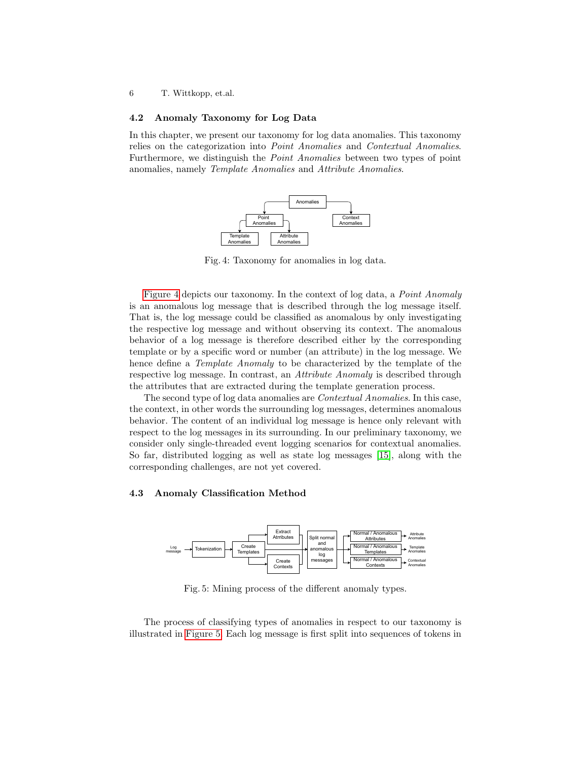#### 4.2 Anomaly Taxonomy for Log Data

<span id="page-5-0"></span>In this chapter, we present our taxonomy for log data anomalies. This taxonomy relies on the categorization into Point Anomalies and Contextual Anomalies. Furthermore, we distinguish the Point Anomalies between two types of point anomalies, namely Template Anomalies and Attribute Anomalies.



Fig. 4: Taxonomy for anomalies in log data.

[Figure 4](#page-5-0) depicts our taxonomy. In the context of log data, a Point Anomaly is an anomalous log message that is described through the log message itself. That is, the log message could be classified as anomalous by only investigating the respective log message and without observing its context. The anomalous behavior of a log message is therefore described either by the corresponding template or by a specific word or number (an attribute) in the log message. We hence define a Template Anomaly to be characterized by the template of the respective log message. In contrast, an Attribute Anomaly is described through the attributes that are extracted during the template generation process.

The second type of log data anomalies are Contextual Anomalies. In this case, the context, in other words the surrounding log messages, determines anomalous behavior. The content of an individual log message is hence only relevant with respect to the log messages in its surrounding. In our preliminary taxonomy, we consider only single-threaded event logging scenarios for contextual anomalies. So far, distributed logging as well as state log messages [\[15\]](#page-11-15), along with the corresponding challenges, are not yet covered.

#### 4.3 Anomaly Classification Method

<span id="page-5-1"></span>

Fig. 5: Mining process of the different anomaly types.

The process of classifying types of anomalies in respect to our taxonomy is illustrated in [Figure 5.](#page-5-1) Each log message is first split into sequences of tokens in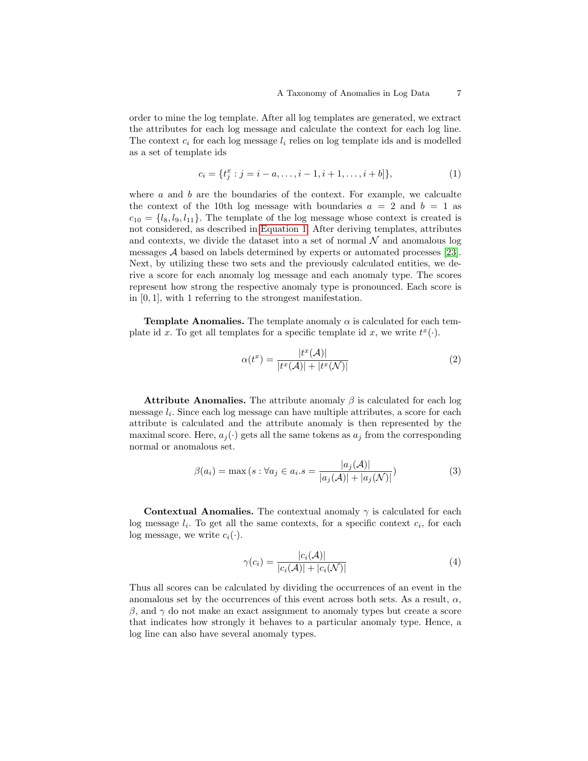order to mine the log template. After all log templates are generated, we extract the attributes for each log message and calculate the context for each log line. The context  $c_i$  for each log message  $l_i$  relies on log template ids and is modelled as a set of template ids

<span id="page-6-0"></span>
$$
c_i = \{t_j^x : j = i - a, \dots, i - 1, i + 1, \dots, i + b\},\tag{1}
$$

where  $a$  and  $b$  are the boundaries of the context. For example, we calcualte the context of the 10th log message with boundaries  $a = 2$  and  $b = 1$  as  $c_{10} = \{l_8, l_9, l_{11}\}\.$  The template of the log message whose context is created is not considered, as described in [Equation 1.](#page-6-0) After deriving templates, attributes and contexts, we divide the dataset into a set of normal  $\mathcal N$  and anomalous log messages A based on labels determined by experts or automated processes [\[23\]](#page-11-23). Next, by utilizing these two sets and the previously calculated entities, we derive a score for each anomaly log message and each anomaly type. The scores represent how strong the respective anomaly type is pronounced. Each score is in [0, 1], with 1 referring to the strongest manifestation.

**Template Anomalies.** The template anomaly  $\alpha$  is calculated for each template id x. To get all templates for a specific template id x, we write  $t^x(\cdot)$ .

$$
\alpha(t^x) = \frac{|t^x(\mathcal{A})|}{|t^x(\mathcal{A})| + |t^x(\mathcal{N})|}
$$
\n(2)

**Attribute Anomalies.** The attribute anomaly  $\beta$  is calculated for each log message  $l_i$ . Since each log message can have multiple attributes, a score for each attribute is calculated and the attribute anomaly is then represented by the maximal score. Here,  $a_i(\cdot)$  gets all the same tokens as  $a_i$  from the corresponding normal or anomalous set.

$$
\beta(a_i) = \max(s : \forall a_j \in a_i.s = \frac{|a_j(\mathcal{A})|}{|a_j(\mathcal{A})| + |a_j(\mathcal{N})|})
$$
\n(3)

Contextual Anomalies. The contextual anomaly  $\gamma$  is calculated for each log message  $l_i$ . To get all the same contexts, for a specific context  $c_i$ , for each log message, we write  $c_i(\cdot)$ .

$$
\gamma(c_i) = \frac{|c_i(\mathcal{A})|}{|c_i(\mathcal{A})| + |c_i(\mathcal{N})|}
$$
(4)

Thus all scores can be calculated by dividing the occurrences of an event in the anomalous set by the occurrences of this event across both sets. As a result,  $\alpha$ ,  $β$ , and γ do not make an exact assignment to anomaly types but create a score that indicates how strongly it behaves to a particular anomaly type. Hence, a log line can also have several anomaly types.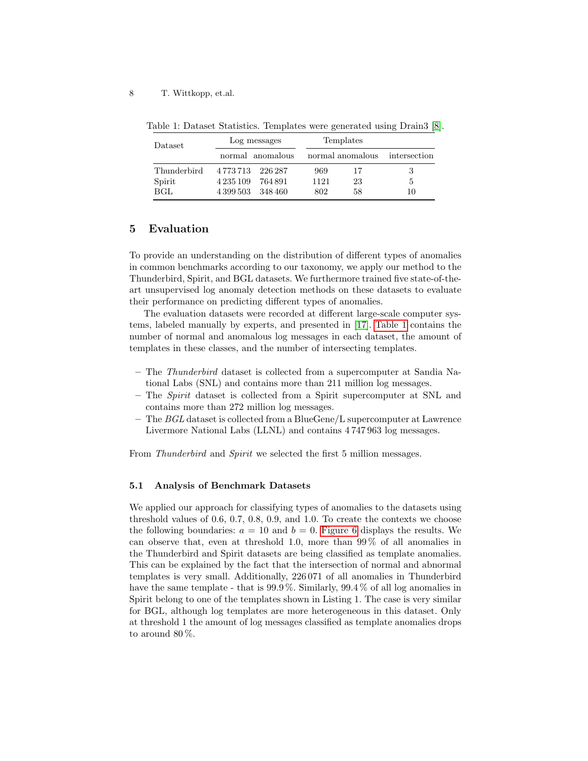Dataset Log messages Templates normal anomalous normal anomalous intersection Thunderbird 4 773 713 226 287 969 17 3 Spirit 4 235 109 764 891 1121 23 5 BGL 4399 503 348 460 802 58 10

<span id="page-7-1"></span>Table 1: Dataset Statistics. Templates were generated using Drain3 [\[8\]](#page-11-20).

## <span id="page-7-0"></span>5 Evaluation

To provide an understanding on the distribution of different types of anomalies in common benchmarks according to our taxonomy, we apply our method to the Thunderbird, Spirit, and BGL datasets. We furthermore trained five state-of-theart unsupervised log anomaly detection methods on these datasets to evaluate their performance on predicting different types of anomalies.

The evaluation datasets were recorded at different large-scale computer systems, labeled manually by experts, and presented in [\[17\]](#page-11-5). [Table 1](#page-7-1) contains the number of normal and anomalous log messages in each dataset, the amount of templates in these classes, and the number of intersecting templates.

- The Thunderbird dataset is collected from a supercomputer at Sandia National Labs (SNL) and contains more than 211 million log messages.
- The Spirit dataset is collected from a Spirit supercomputer at SNL and contains more than 272 million log messages.
- $-$  The  $BGL$  dataset is collected from a BlueGene/L supercomputer at Lawrence Livermore National Labs (LLNL) and contains 4 747 963 log messages.

From Thunderbird and Spirit we selected the first 5 million messages.

#### 5.1 Analysis of Benchmark Datasets

We applied our approach for classifying types of anomalies to the datasets using threshold values of 0.6, 0.7, 0.8, 0.9, and 1.0. To create the contexts we choose the following boundaries:  $a = 10$  and  $b = 0$ . [Figure 6](#page-8-0) displays the results. We can observe that, even at threshold 1.0, more than  $99\%$  of all anomalies in the Thunderbird and Spirit datasets are being classified as template anomalies. This can be explained by the fact that the intersection of normal and abnormal templates is very small. Additionally, 226 071 of all anomalies in Thunderbird have the same template - that is  $99.9\%$ . Similarly,  $99.4\%$  of all log anomalies in Spirit belong to one of the templates shown in Listing 1. The case is very similar for BGL, although log templates are more heterogeneous in this dataset. Only at threshold 1 the amount of log messages classified as template anomalies drops to around 80 %.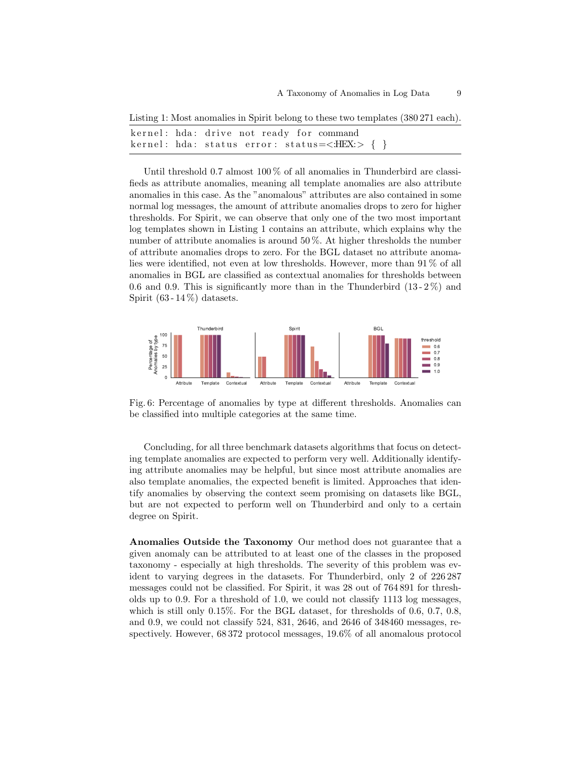| Listing 1: Most anomalies in Spirit belong to these two templates (380 271 each). |  |                                                               |
|-----------------------------------------------------------------------------------|--|---------------------------------------------------------------|
|                                                                                   |  | kernel: hda: drive not ready for command                      |
|                                                                                   |  | kernel: hda: status error: status= $\langle HEX: \rangle$ { } |

Until threshold 0.7 almost  $100\%$  of all anomalies in Thunderbird are classifieds as attribute anomalies, meaning all template anomalies are also attribute anomalies in this case. As the "anomalous" attributes are also contained in some normal log messages, the amount of attribute anomalies drops to zero for higher thresholds. For Spirit, we can observe that only one of the two most important log templates shown in Listing 1 contains an attribute, which explains why the number of attribute anomalies is around 50 %. At higher thresholds the number of attribute anomalies drops to zero. For the BGL dataset no attribute anomalies were identified, not even at low thresholds. However, more than 91 % of all anomalies in BGL are classified as contextual anomalies for thresholds between 0.6 and 0.9. This is significantly more than in the Thunderbird  $(13-2\%)$  and Spirit  $(63 - 14\%)$  datasets.

<span id="page-8-0"></span>

Fig. 6: Percentage of anomalies by type at different thresholds. Anomalies can be classified into multiple categories at the same time.

Concluding, for all three benchmark datasets algorithms that focus on detecting template anomalies are expected to perform very well. Additionally identifying attribute anomalies may be helpful, but since most attribute anomalies are also template anomalies, the expected benefit is limited. Approaches that identify anomalies by observing the context seem promising on datasets like BGL, but are not expected to perform well on Thunderbird and only to a certain degree on Spirit.

Anomalies Outside the Taxonomy Our method does not guarantee that a given anomaly can be attributed to at least one of the classes in the proposed taxonomy - especially at high thresholds. The severity of this problem was evident to varying degrees in the datasets. For Thunderbird, only 2 of 226 287 messages could not be classified. For Spirit, it was 28 out of 764 891 for thresholds up to 0.9. For a threshold of 1.0, we could not classify 1113 log messages, which is still only 0.15%. For the BGL dataset, for thresholds of 0.6, 0.7, 0.8, and 0.9, we could not classify 524, 831, 2646, and 2646 of 348460 messages, respectively. However, 68 372 protocol messages, 19.6% of all anomalous protocol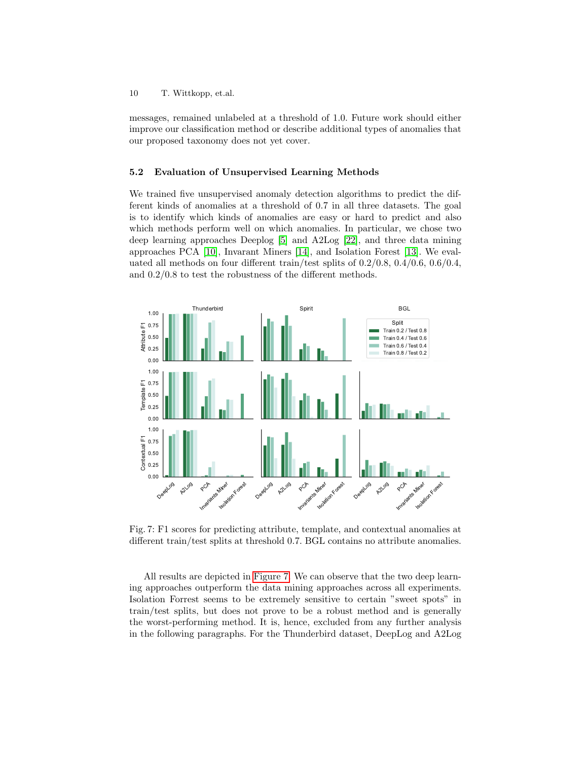messages, remained unlabeled at a threshold of 1.0. Future work should either improve our classification method or describe additional types of anomalies that our proposed taxonomy does not yet cover.

#### 5.2 Evaluation of Unsupervised Learning Methods

We trained five unsupervised anomaly detection algorithms to predict the different kinds of anomalies at a threshold of 0.7 in all three datasets. The goal is to identify which kinds of anomalies are easy or hard to predict and also which methods perform well on which anomalies. In particular, we chose two deep learning approaches Deeplog [\[5\]](#page-11-10) and A2Log [\[22\]](#page-11-21), and three data mining approaches PCA [\[10\]](#page-11-17), Invarant Miners [\[14\]](#page-11-18), and Isolation Forest [\[13\]](#page-11-19). We evaluated all methods on four different train/test splits of 0.2/0.8, 0.4/0.6, 0.6/0.4, and 0.2/0.8 to test the robustness of the different methods.

<span id="page-9-0"></span>

Fig. 7: F1 scores for predicting attribute, template, and contextual anomalies at different train/test splits at threshold 0.7. BGL contains no attribute anomalies.

All results are depicted in [Figure 7.](#page-9-0) We can observe that the two deep learning approaches outperform the data mining approaches across all experiments. Isolation Forrest seems to be extremely sensitive to certain "sweet spots" in train/test splits, but does not prove to be a robust method and is generally the worst-performing method. It is, hence, excluded from any further analysis in the following paragraphs. For the Thunderbird dataset, DeepLog and A2Log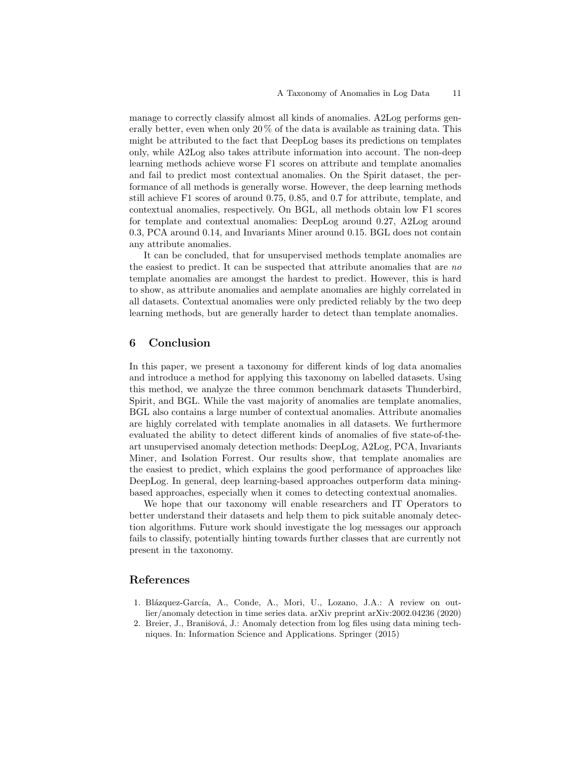manage to correctly classify almost all kinds of anomalies. A2Log performs generally better, even when only  $20\%$  of the data is available as training data. This might be attributed to the fact that DeepLog bases its predictions on templates only, while A2Log also takes attribute information into account. The non-deep learning methods achieve worse F1 scores on attribute and template anomalies and fail to predict most contextual anomalies. On the Spirit dataset, the performance of all methods is generally worse. However, the deep learning methods still achieve F1 scores of around 0.75, 0.85, and 0.7 for attribute, template, and contextual anomalies, respectively. On BGL, all methods obtain low F1 scores for template and contextual anomalies: DeepLog around 0.27, A2Log around 0.3, PCA around 0.14, and Invariants Miner around 0.15. BGL does not contain any attribute anomalies.

It can be concluded, that for unsupervised methods template anomalies are the easiest to predict. It can be suspected that attribute anomalies that are no template anomalies are amongst the hardest to predict. However, this is hard to show, as attribute anomalies and aemplate anomalies are highly correlated in all datasets. Contextual anomalies were only predicted reliably by the two deep learning methods, but are generally harder to detect than template anomalies.

## <span id="page-10-1"></span>6 Conclusion

In this paper, we present a taxonomy for different kinds of log data anomalies and introduce a method for applying this taxonomy on labelled datasets. Using this method, we analyze the three common benchmark datasets Thunderbird, Spirit, and BGL. While the vast majority of anomalies are template anomalies, BGL also contains a large number of contextual anomalies. Attribute anomalies are highly correlated with template anomalies in all datasets. We furthermore evaluated the ability to detect different kinds of anomalies of five state-of-theart unsupervised anomaly detection methods: DeepLog, A2Log, PCA, Invariants Miner, and Isolation Forrest. Our results show, that template anomalies are the easiest to predict, which explains the good performance of approaches like DeepLog. In general, deep learning-based approaches outperform data miningbased approaches, especially when it comes to detecting contextual anomalies.

We hope that our taxonomy will enable researchers and IT Operators to better understand their datasets and help them to pick suitable anomaly detection algorithms. Future work should investigate the log messages our approach fails to classify, potentially hinting towards further classes that are currently not present in the taxonomy.

### References

- <span id="page-10-2"></span>1. Blázquez-García, A., Conde, A., Mori, U., Lozano, J.A.: A review on outlier/anomaly detection in time series data. arXiv preprint arXiv:2002.04236 (2020)
- <span id="page-10-0"></span>2. Breier, J., Branišová, J.: Anomaly detection from log files using data mining techniques. In: Information Science and Applications. Springer (2015)